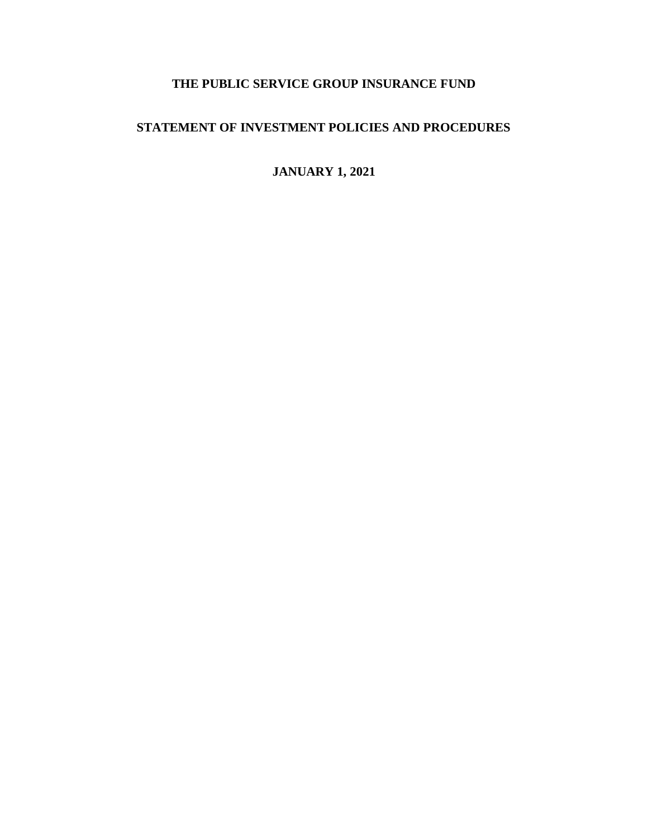# **THE PUBLIC SERVICE GROUP INSURANCE FUND**

# **STATEMENT OF INVESTMENT POLICIES AND PROCEDURES**

**JANUARY 1, 2021**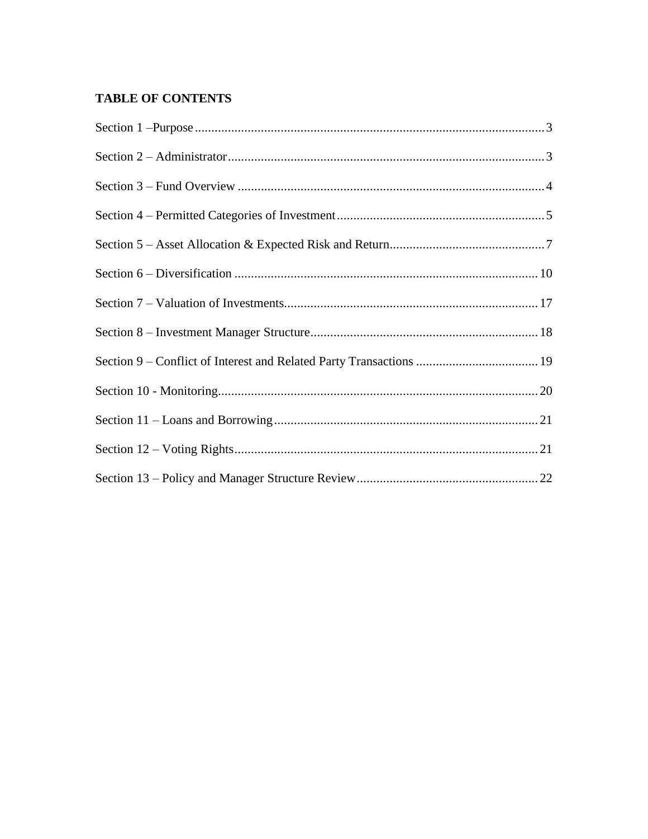# **TABLE OF CONTENTS**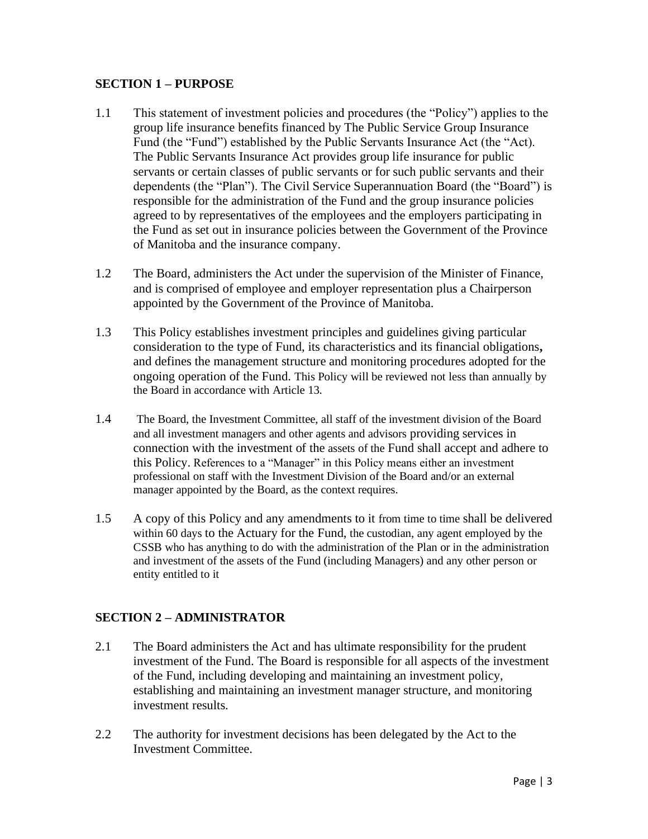#### **SECTION 1 – PURPOSE**

- 1.1 This statement of investment policies and procedures (the "Policy") applies to the group life insurance benefits financed by The Public Service Group Insurance Fund (the "Fund") established by the Public Servants Insurance Act (the "Act). The Public Servants Insurance Act provides group life insurance for public servants or certain classes of public servants or for such public servants and their dependents (the "Plan"). The Civil Service Superannuation Board (the "Board") is responsible for the administration of the Fund and the group insurance policies agreed to by representatives of the employees and the employers participating in the Fund as set out in insurance policies between the Government of the Province of Manitoba and the insurance company.
- 1.2 The Board, administers the Act under the supervision of the Minister of Finance, and is comprised of employee and employer representation plus a Chairperson appointed by the Government of the Province of Manitoba.
- 1.3 This Policy establishes investment principles and guidelines giving particular consideration to the type of Fund, its characteristics and its financial obligations**,** and defines the management structure and monitoring procedures adopted for the ongoing operation of the Fund. This Policy will be reviewed not less than annually by the Board in accordance with Article 13.
- 1.4 The Board, the Investment Committee, all staff of the investment division of the Board and all investment managers and other agents and advisors providing services in connection with the investment of the assets of the Fund shall accept and adhere to this Policy. References to a "Manager" in this Policy means either an investment professional on staff with the Investment Division of the Board and/or an external manager appointed by the Board, as the context requires.
- 1.5 A copy of this Policy and any amendments to it from time to time shall be delivered within 60 days to the Actuary for the Fund, the custodian, any agent employed by the CSSB who has anything to do with the administration of the Plan or in the administration and investment of the assets of the Fund (including Managers) and any other person or entity entitled to it

#### **SECTION 2 – ADMINISTRATOR**

- 2.1 The Board administers the Act and has ultimate responsibility for the prudent investment of the Fund. The Board is responsible for all aspects of the investment of the Fund, including developing and maintaining an investment policy, establishing and maintaining an investment manager structure, and monitoring investment results.
- 2.2 The authority for investment decisions has been delegated by the Act to the Investment Committee.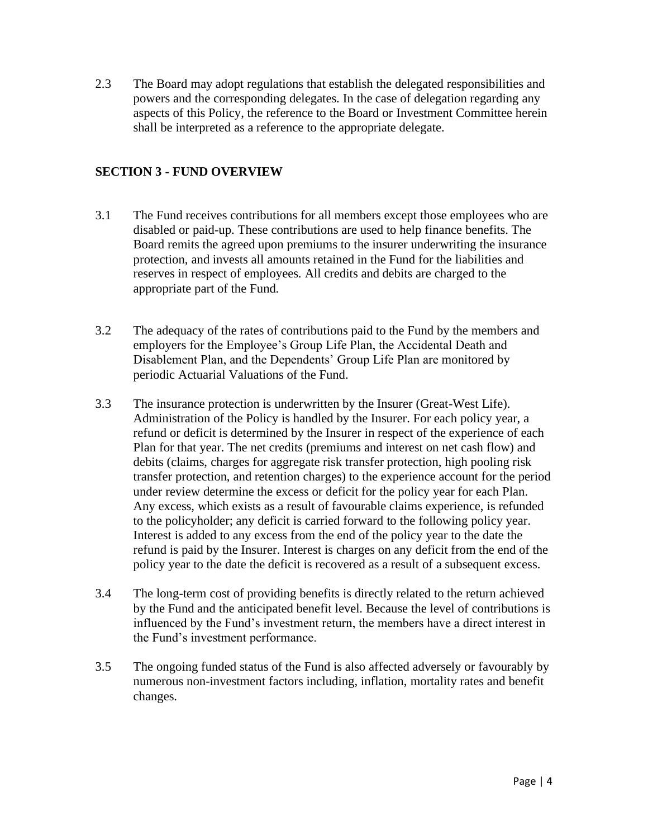2.3 The Board may adopt regulations that establish the delegated responsibilities and powers and the corresponding delegates. In the case of delegation regarding any aspects of this Policy, the reference to the Board or Investment Committee herein shall be interpreted as a reference to the appropriate delegate.

### **SECTION 3 - FUND OVERVIEW**

- 3.1 The Fund receives contributions for all members except those employees who are disabled or paid-up. These contributions are used to help finance benefits. The Board remits the agreed upon premiums to the insurer underwriting the insurance protection, and invests all amounts retained in the Fund for the liabilities and reserves in respect of employees. All credits and debits are charged to the appropriate part of the Fund.
- 3.2 The adequacy of the rates of contributions paid to the Fund by the members and employers for the Employee's Group Life Plan, the Accidental Death and Disablement Plan, and the Dependents' Group Life Plan are monitored by periodic Actuarial Valuations of the Fund.
- 3.3 The insurance protection is underwritten by the Insurer (Great-West Life). Administration of the Policy is handled by the Insurer. For each policy year, a refund or deficit is determined by the Insurer in respect of the experience of each Plan for that year. The net credits (premiums and interest on net cash flow) and debits (claims, charges for aggregate risk transfer protection, high pooling risk transfer protection, and retention charges) to the experience account for the period under review determine the excess or deficit for the policy year for each Plan. Any excess, which exists as a result of favourable claims experience, is refunded to the policyholder; any deficit is carried forward to the following policy year. Interest is added to any excess from the end of the policy year to the date the refund is paid by the Insurer. Interest is charges on any deficit from the end of the policy year to the date the deficit is recovered as a result of a subsequent excess.
- 3.4 The long-term cost of providing benefits is directly related to the return achieved by the Fund and the anticipated benefit level. Because the level of contributions is influenced by the Fund's investment return, the members have a direct interest in the Fund's investment performance.
- 3.5 The ongoing funded status of the Fund is also affected adversely or favourably by numerous non-investment factors including, inflation, mortality rates and benefit changes.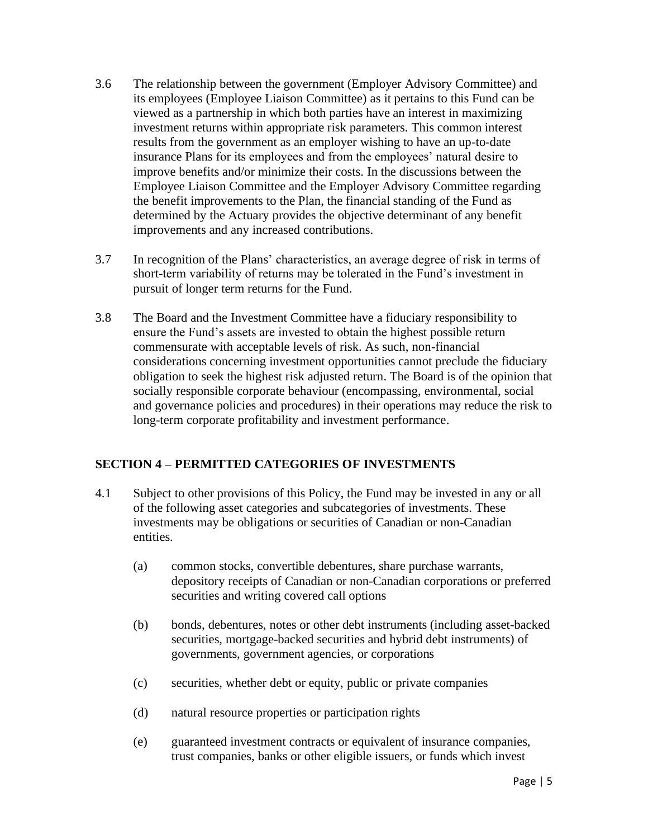- 3.6 The relationship between the government (Employer Advisory Committee) and its employees (Employee Liaison Committee) as it pertains to this Fund can be viewed as a partnership in which both parties have an interest in maximizing investment returns within appropriate risk parameters. This common interest results from the government as an employer wishing to have an up-to-date insurance Plans for its employees and from the employees' natural desire to improve benefits and/or minimize their costs. In the discussions between the Employee Liaison Committee and the Employer Advisory Committee regarding the benefit improvements to the Plan, the financial standing of the Fund as determined by the Actuary provides the objective determinant of any benefit improvements and any increased contributions.
- 3.7 In recognition of the Plans' characteristics, an average degree of risk in terms of short-term variability of returns may be tolerated in the Fund's investment in pursuit of longer term returns for the Fund.
- 3.8 The Board and the Investment Committee have a fiduciary responsibility to ensure the Fund's assets are invested to obtain the highest possible return commensurate with acceptable levels of risk. As such, non-financial considerations concerning investment opportunities cannot preclude the fiduciary obligation to seek the highest risk adjusted return. The Board is of the opinion that socially responsible corporate behaviour (encompassing, environmental, social and governance policies and procedures) in their operations may reduce the risk to long-term corporate profitability and investment performance.

#### **SECTION 4 – PERMITTED CATEGORIES OF INVESTMENTS**

- 4.1 Subject to other provisions of this Policy, the Fund may be invested in any or all of the following asset categories and subcategories of investments. These investments may be obligations or securities of Canadian or non-Canadian entities.
	- (a) common stocks, convertible debentures, share purchase warrants, depository receipts of Canadian or non-Canadian corporations or preferred securities and writing covered call options
	- (b) bonds, debentures, notes or other debt instruments (including asset-backed securities, mortgage-backed securities and hybrid debt instruments) of governments, government agencies, or corporations
	- (c) securities, whether debt or equity, public or private companies
	- (d) natural resource properties or participation rights
	- (e) guaranteed investment contracts or equivalent of insurance companies, trust companies, banks or other eligible issuers, or funds which invest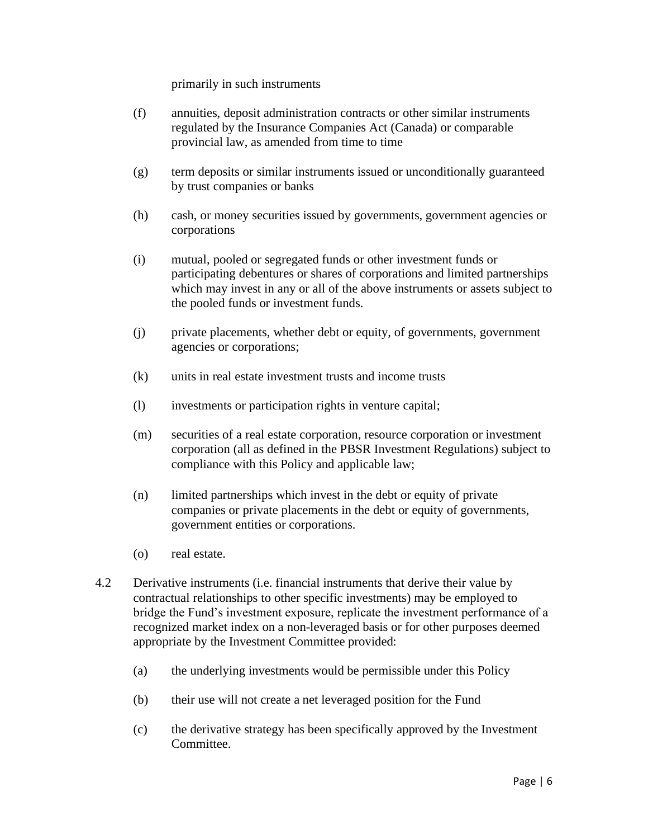primarily in such instruments

- (f) annuities, deposit administration contracts or other similar instruments regulated by the Insurance Companies Act (Canada) or comparable provincial law, as amended from time to time
- (g) term deposits or similar instruments issued or unconditionally guaranteed by trust companies or banks
- (h) cash, or money securities issued by governments, government agencies or corporations
- (i) mutual, pooled or segregated funds or other investment funds or participating debentures or shares of corporations and limited partnerships which may invest in any or all of the above instruments or assets subject to the pooled funds or investment funds.
- (j) private placements, whether debt or equity, of governments, government agencies or corporations;
- (k) units in real estate investment trusts and income trusts
- (l) investments or participation rights in venture capital;
- (m) securities of a real estate corporation, resource corporation or investment corporation (all as defined in the PBSR Investment Regulations) subject to compliance with this Policy and applicable law;
- (n) limited partnerships which invest in the debt or equity of private companies or private placements in the debt or equity of governments, government entities or corporations.
- (o) real estate.
- 4.2 Derivative instruments (i.e. financial instruments that derive their value by contractual relationships to other specific investments) may be employed to bridge the Fund's investment exposure, replicate the investment performance of a recognized market index on a non-leveraged basis or for other purposes deemed appropriate by the Investment Committee provided:
	- (a) the underlying investments would be permissible under this Policy
	- (b) their use will not create a net leveraged position for the Fund
	- (c) the derivative strategy has been specifically approved by the Investment Committee.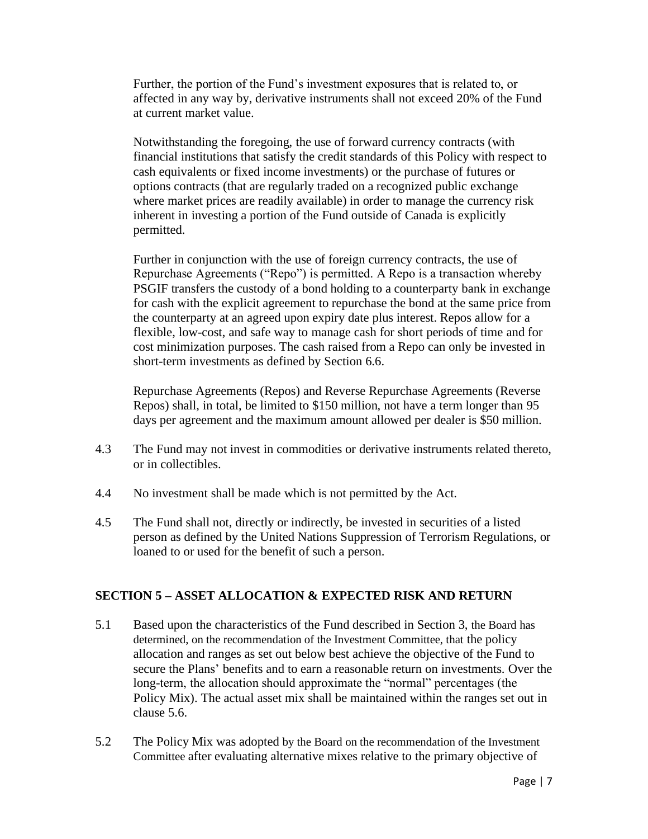Further, the portion of the Fund's investment exposures that is related to, or affected in any way by, derivative instruments shall not exceed 20% of the Fund at current market value.

Notwithstanding the foregoing, the use of forward currency contracts (with financial institutions that satisfy the credit standards of this Policy with respect to cash equivalents or fixed income investments) or the purchase of futures or options contracts (that are regularly traded on a recognized public exchange where market prices are readily available) in order to manage the currency risk inherent in investing a portion of the Fund outside of Canada is explicitly permitted.

Further in conjunction with the use of foreign currency contracts, the use of Repurchase Agreements ("Repo") is permitted. A Repo is a transaction whereby PSGIF transfers the custody of a bond holding to a counterparty bank in exchange for cash with the explicit agreement to repurchase the bond at the same price from the counterparty at an agreed upon expiry date plus interest. Repos allow for a flexible, low-cost, and safe way to manage cash for short periods of time and for cost minimization purposes. The cash raised from a Repo can only be invested in short-term investments as defined by Section 6.6.

Repurchase Agreements (Repos) and Reverse Repurchase Agreements (Reverse Repos) shall, in total, be limited to \$150 million, not have a term longer than 95 days per agreement and the maximum amount allowed per dealer is \$50 million.

- 4.3 The Fund may not invest in commodities or derivative instruments related thereto, or in collectibles.
- 4.4 No investment shall be made which is not permitted by the Act.
- 4.5 The Fund shall not, directly or indirectly, be invested in securities of a listed person as defined by the United Nations Suppression of Terrorism Regulations, or loaned to or used for the benefit of such a person.

#### **SECTION 5 – ASSET ALLOCATION & EXPECTED RISK AND RETURN**

- 5.1 Based upon the characteristics of the Fund described in Section 3, the Board has determined, on the recommendation of the Investment Committee, that the policy allocation and ranges as set out below best achieve the objective of the Fund to secure the Plans' benefits and to earn a reasonable return on investments. Over the long-term, the allocation should approximate the "normal" percentages (the Policy Mix). The actual asset mix shall be maintained within the ranges set out in clause 5.6.
- 5.2 The Policy Mix was adopted by the Board on the recommendation of the Investment Committee after evaluating alternative mixes relative to the primary objective of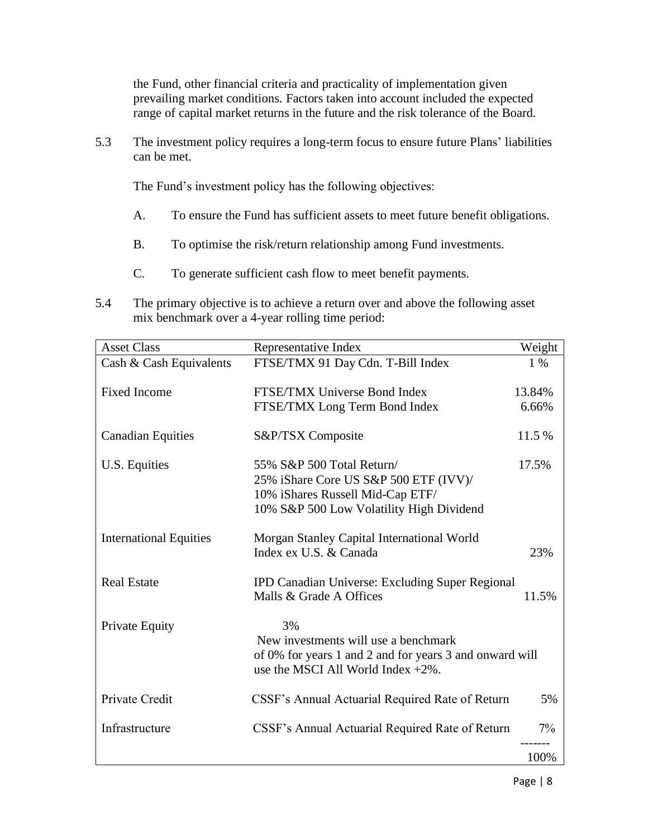the Fund, other financial criteria and practicality of implementation given prevailing market conditions. Factors taken into account included the expected range of capital market returns in the future and the risk tolerance of the Board.

5.3 The investment policy requires a long-term focus to ensure future Plans' liabilities can be met.

The Fund's investment policy has the following objectives:

- A. To ensure the Fund has sufficient assets to meet future benefit obligations.
- B. To optimise the risk/return relationship among Fund investments.
- C. To generate sufficient cash flow to meet benefit payments.
- 5.4 The primary objective is to achieve a return over and above the following asset mix benchmark over a 4-year rolling time period:

| <b>Asset Class</b>            | Representative Index                                                                             | Weight |
|-------------------------------|--------------------------------------------------------------------------------------------------|--------|
| Cash & Cash Equivalents       | FTSE/TMX 91 Day Cdn. T-Bill Index                                                                | 1 %    |
| <b>Fixed Income</b>           | FTSE/TMX Universe Bond Index                                                                     | 13.84% |
|                               | FTSE/TMX Long Term Bond Index                                                                    | 6.66%  |
| <b>Canadian Equities</b>      | S&P/TSX Composite                                                                                | 11.5 % |
| U.S. Equities                 | 55% S&P 500 Total Return/                                                                        | 17.5%  |
|                               | 25% iShare Core US S&P 500 ETF (IVV)/                                                            |        |
|                               | 10% iShares Russell Mid-Cap ETF/                                                                 |        |
|                               | 10% S&P 500 Low Volatility High Dividend                                                         |        |
| <b>International Equities</b> | Morgan Stanley Capital International World                                                       |        |
|                               | Index ex U.S. & Canada                                                                           | 23%    |
| <b>Real Estate</b>            | IPD Canadian Universe: Excluding Super Regional                                                  |        |
|                               | Malls & Grade A Offices                                                                          | 11.5%  |
| <b>Private Equity</b>         | 3%                                                                                               |        |
|                               | New investments will use a benchmark                                                             |        |
|                               | of 0% for years 1 and 2 and for years 3 and onward will<br>use the MSCI All World Index $+2\%$ . |        |
| Private Credit                | CSSF's Annual Actuarial Required Rate of Return                                                  | 5%     |
|                               |                                                                                                  |        |
| Infrastructure                | CSSF's Annual Actuarial Required Rate of Return                                                  | $7\%$  |
|                               |                                                                                                  | 100%   |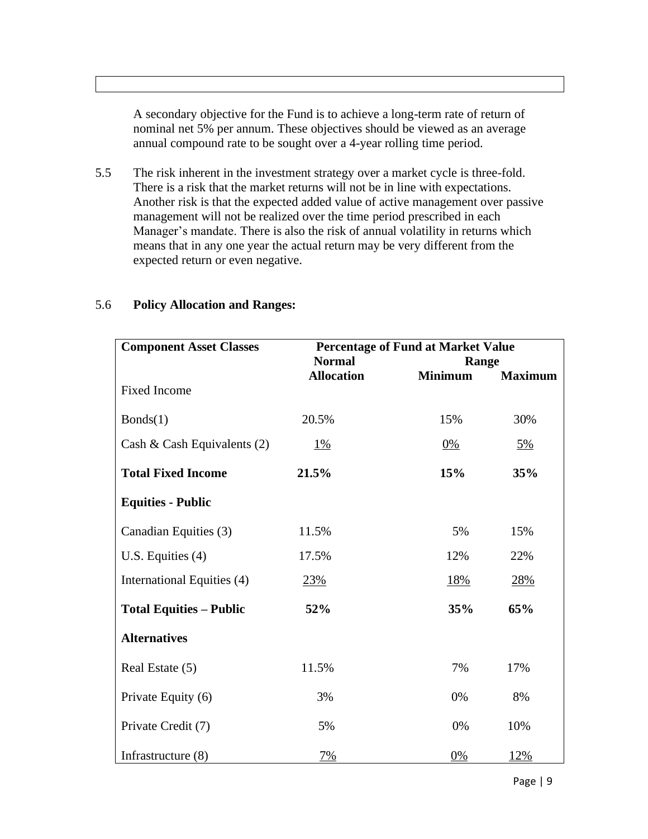A secondary objective for the Fund is to achieve a long-term rate of return of nominal net 5% per annum. These objectives should be viewed as an average annual compound rate to be sought over a 4-year rolling time period.

5.5 The risk inherent in the investment strategy over a market cycle is three-fold. There is a risk that the market returns will not be in line with expectations. Another risk is that the expected added value of active management over passive management will not be realized over the time period prescribed in each Manager's mandate. There is also the risk of annual volatility in returns which means that in any one year the actual return may be very different from the expected return or even negative.

| <b>Component Asset Classes</b> | <b>Percentage of Fund at Market Value</b> |                |                |
|--------------------------------|-------------------------------------------|----------------|----------------|
|                                | <b>Normal</b>                             | Range          |                |
| <b>Fixed Income</b>            | <b>Allocation</b>                         | <b>Minimum</b> | <b>Maximum</b> |
| Bonds(1)                       | 20.5%                                     | 15%            | 30%            |
| Cash & Cash Equivalents $(2)$  | $1\%$                                     | 0%             | <u>5%</u>      |
| <b>Total Fixed Income</b>      | 21.5%                                     | 15%            | 35%            |
| <b>Equities - Public</b>       |                                           |                |                |
| Canadian Equities (3)          | 11.5%                                     | 5%             | 15%            |
| U.S. Equities $(4)$            | 17.5%                                     | 12%            | 22%            |
| International Equities (4)     | 23%                                       | 18%            | <u>28%</u>     |
| <b>Total Equities - Public</b> | 52%                                       | 35%            | 65%            |
| <b>Alternatives</b>            |                                           |                |                |
| Real Estate (5)                | 11.5%                                     | 7%             | 17%            |
| Private Equity (6)             | 3%                                        | 0%             | 8%             |
| Private Credit (7)             | 5%                                        | 0%             | 10%            |
| Infrastructure $(8)$           | 7%                                        | 0%             | 12%            |

#### 5.6 **Policy Allocation and Ranges:**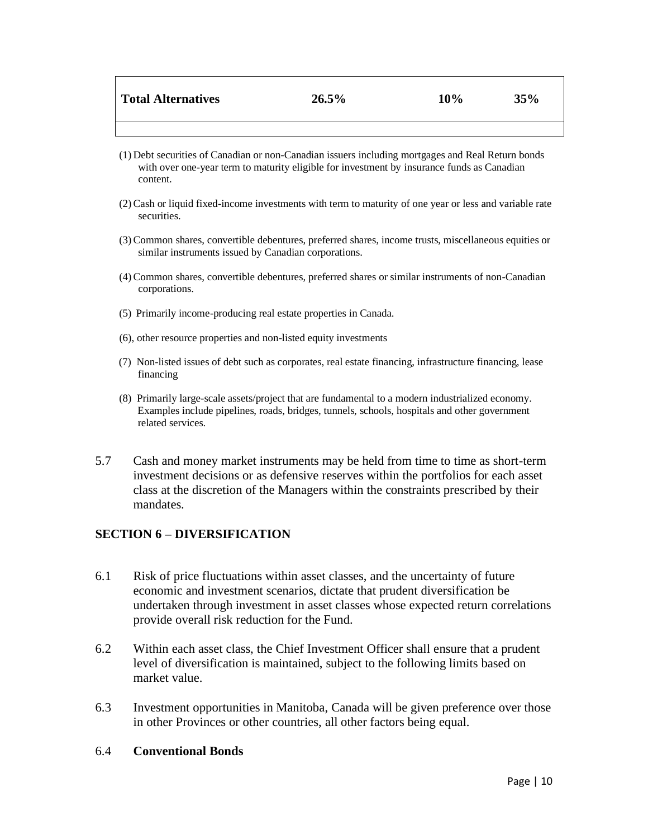| Total Alternatives | 26.5% | 10% | 35% |
|--------------------|-------|-----|-----|
|                    |       |     |     |

- (1) Debt securities of Canadian or non-Canadian issuers including mortgages and Real Return bonds with over one-year term to maturity eligible for investment by insurance funds as Canadian content.
- (2)Cash or liquid fixed-income investments with term to maturity of one year or less and variable rate securities.
- (3)Common shares, convertible debentures, preferred shares, income trusts, miscellaneous equities or similar instruments issued by Canadian corporations.
- (4)Common shares, convertible debentures, preferred shares or similar instruments of non-Canadian corporations.
- (5) Primarily income-producing real estate properties in Canada.
- (6), other resource properties and non-listed equity investments
- (7) Non-listed issues of debt such as corporates, real estate financing, infrastructure financing, lease financing
- (8) Primarily large-scale assets/project that are fundamental to a modern industrialized economy. Examples include pipelines, roads, bridges, tunnels, schools, hospitals and other government related services.
- 5.7 Cash and money market instruments may be held from time to time as short-term investment decisions or as defensive reserves within the portfolios for each asset class at the discretion of the Managers within the constraints prescribed by their mandates.

#### **SECTION 6 – DIVERSIFICATION**

- 6.1 Risk of price fluctuations within asset classes, and the uncertainty of future economic and investment scenarios, dictate that prudent diversification be undertaken through investment in asset classes whose expected return correlations provide overall risk reduction for the Fund.
- 6.2 Within each asset class, the Chief Investment Officer shall ensure that a prudent level of diversification is maintained, subject to the following limits based on market value.
- 6.3 Investment opportunities in Manitoba, Canada will be given preference over those in other Provinces or other countries, all other factors being equal.
- 6.4 **Conventional Bonds**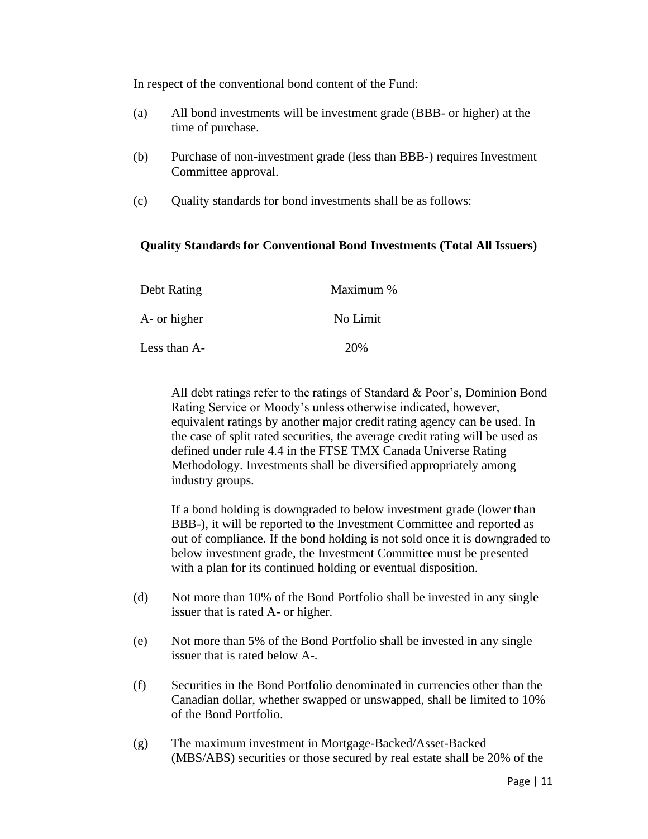In respect of the conventional bond content of the Fund:

- (a) All bond investments will be investment grade (BBB- or higher) at the time of purchase.
- (b) Purchase of non-investment grade (less than BBB-) requires Investment Committee approval.
- (c) Quality standards for bond investments shall be as follows:

| <b>Quality Standards for Conventional Bond Investments (Total All Issuers)</b> |           |  |
|--------------------------------------------------------------------------------|-----------|--|
| Debt Rating                                                                    | Maximum % |  |
| A- or higher                                                                   | No Limit  |  |
| Less than A-                                                                   | 20%       |  |
|                                                                                |           |  |

All debt ratings refer to the ratings of Standard & Poor's, Dominion Bond Rating Service or Moody's unless otherwise indicated, however, equivalent ratings by another major credit rating agency can be used. In the case of split rated securities, the average credit rating will be used as defined under rule 4.4 in the FTSE TMX Canada Universe Rating Methodology. Investments shall be diversified appropriately among industry groups.

If a bond holding is downgraded to below investment grade (lower than BBB-), it will be reported to the Investment Committee and reported as out of compliance. If the bond holding is not sold once it is downgraded to below investment grade, the Investment Committee must be presented with a plan for its continued holding or eventual disposition.

- (d) Not more than 10% of the Bond Portfolio shall be invested in any single issuer that is rated A- or higher.
- (e) Not more than 5% of the Bond Portfolio shall be invested in any single issuer that is rated below A-.
- (f) Securities in the Bond Portfolio denominated in currencies other than the Canadian dollar, whether swapped or unswapped, shall be limited to 10% of the Bond Portfolio.
- (g) The maximum investment in Mortgage-Backed/Asset-Backed (MBS/ABS) securities or those secured by real estate shall be 20% of the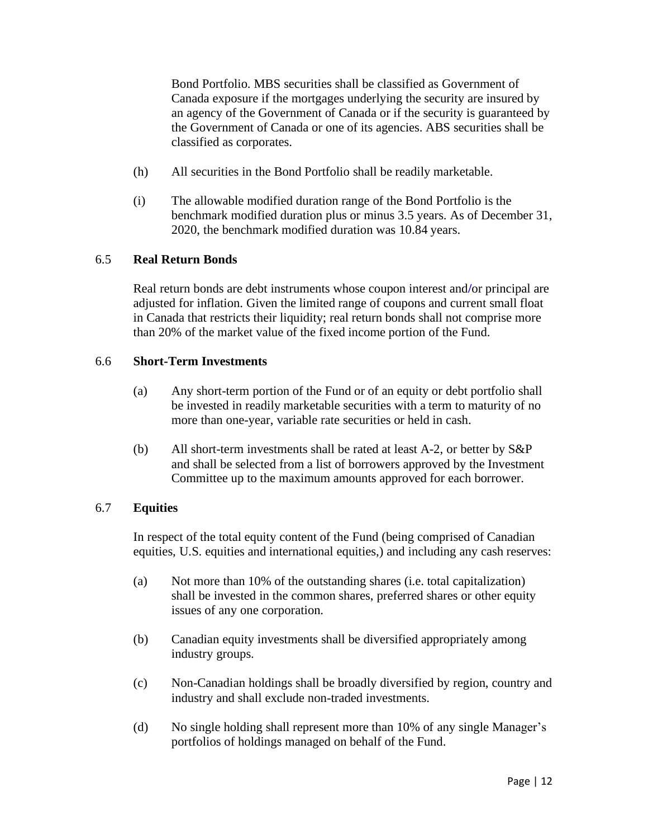Bond Portfolio. MBS securities shall be classified as Government of Canada exposure if the mortgages underlying the security are insured by an agency of the Government of Canada or if the security is guaranteed by the Government of Canada or one of its agencies. ABS securities shall be classified as corporates.

- (h) All securities in the Bond Portfolio shall be readily marketable.
- (i) The allowable modified duration range of the Bond Portfolio is the benchmark modified duration plus or minus 3.5 years. As of December 31, 2020, the benchmark modified duration was 10.84 years.

# 6.5 **Real Return Bonds**

Real return bonds are debt instruments whose coupon interest and**/**or principal are adjusted for inflation. Given the limited range of coupons and current small float in Canada that restricts their liquidity; real return bonds shall not comprise more than 20% of the market value of the fixed income portion of the Fund.

#### 6.6 **Short-Term Investments**

- (a) Any short-term portion of the Fund or of an equity or debt portfolio shall be invested in readily marketable securities with a term to maturity of no more than one-year, variable rate securities or held in cash.
- (b) All short-term investments shall be rated at least A-2, or better by S&P and shall be selected from a list of borrowers approved by the Investment Committee up to the maximum amounts approved for each borrower.

# 6.7 **Equities**

In respect of the total equity content of the Fund (being comprised of Canadian equities, U.S. equities and international equities,) and including any cash reserves:

- (a) Not more than 10% of the outstanding shares (i.e. total capitalization) shall be invested in the common shares, preferred shares or other equity issues of any one corporation.
- (b) Canadian equity investments shall be diversified appropriately among industry groups.
- (c) Non-Canadian holdings shall be broadly diversified by region, country and industry and shall exclude non-traded investments.
- (d) No single holding shall represent more than 10% of any single Manager's portfolios of holdings managed on behalf of the Fund.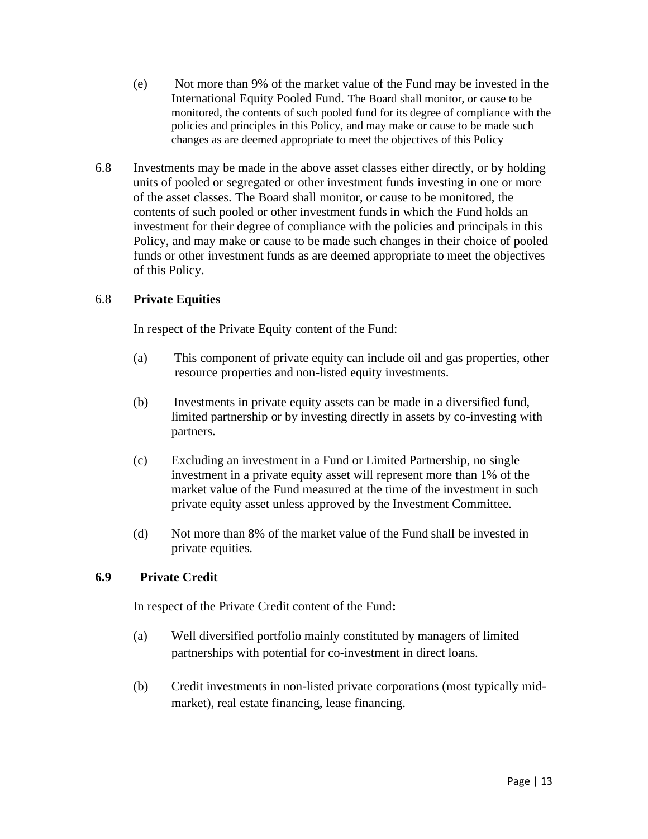- (e) Not more than 9% of the market value of the Fund may be invested in the International Equity Pooled Fund. The Board shall monitor, or cause to be monitored, the contents of such pooled fund for its degree of compliance with the policies and principles in this Policy, and may make or cause to be made such changes as are deemed appropriate to meet the objectives of this Policy
- 6.8 Investments may be made in the above asset classes either directly, or by holding units of pooled or segregated or other investment funds investing in one or more of the asset classes. The Board shall monitor, or cause to be monitored, the contents of such pooled or other investment funds in which the Fund holds an investment for their degree of compliance with the policies and principals in this Policy, and may make or cause to be made such changes in their choice of pooled funds or other investment funds as are deemed appropriate to meet the objectives of this Policy.

#### 6.8 **Private Equities**

In respect of the Private Equity content of the Fund:

- (a) This component of private equity can include oil and gas properties, other resource properties and non-listed equity investments.
- (b) Investments in private equity assets can be made in a diversified fund, limited partnership or by investing directly in assets by co-investing with partners.
- (c) Excluding an investment in a Fund or Limited Partnership, no single investment in a private equity asset will represent more than 1% of the market value of the Fund measured at the time of the investment in such private equity asset unless approved by the Investment Committee.
- (d) Not more than 8% of the market value of the Fund shall be invested in private equities.

#### **6.9 Private Credit**

In respect of the Private Credit content of the Fund**:**

- (a) Well diversified portfolio mainly constituted by managers of limited partnerships with potential for co-investment in direct loans.
- (b) Credit investments in non-listed private corporations (most typically midmarket), real estate financing, lease financing.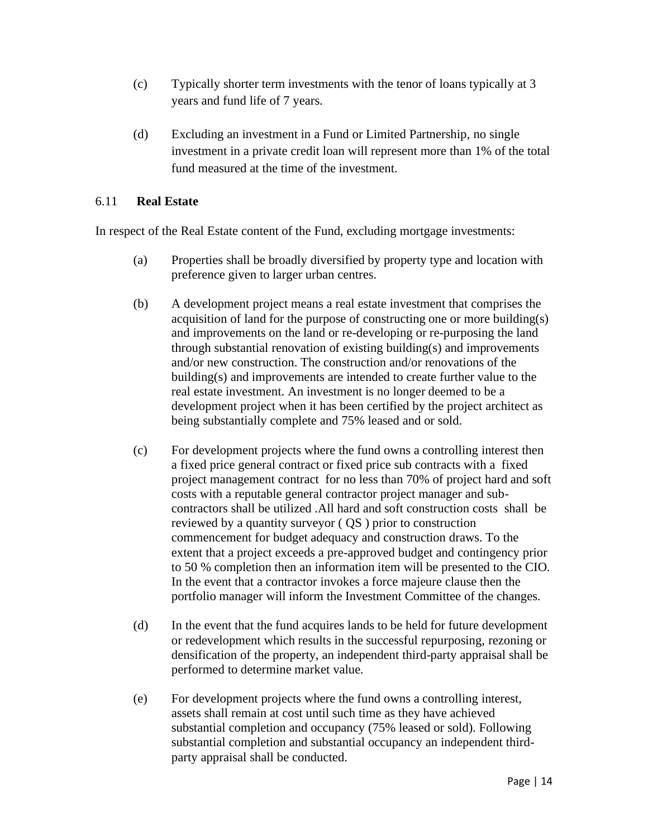- (c) Typically shorter term investments with the tenor of loans typically at 3 years and fund life of 7 years.
- (d) Excluding an investment in a Fund or Limited Partnership, no single investment in a private credit loan will represent more than 1% of the total fund measured at the time of the investment.

#### 6.11 **Real Estate**

In respect of the Real Estate content of the Fund, excluding mortgage investments:

- (a) Properties shall be broadly diversified by property type and location with preference given to larger urban centres.
- (b) A development project means a real estate investment that comprises the acquisition of land for the purpose of constructing one or more building(s) and improvements on the land or re-developing or re-purposing the land through substantial renovation of existing building(s) and improvements and/or new construction. The construction and/or renovations of the building(s) and improvements are intended to create further value to the real estate investment. An investment is no longer deemed to be a development project when it has been certified by the project architect as being substantially complete and 75% leased and or sold.
- (c) For development projects where the fund owns a controlling interest then a fixed price general contract or fixed price sub contracts with a fixed project management contract for no less than 70% of project hard and soft costs with a reputable general contractor project manager and subcontractors shall be utilized .All hard and soft construction costs shall be reviewed by a quantity surveyor ( QS ) prior to construction commencement for budget adequacy and construction draws. To the extent that a project exceeds a pre-approved budget and contingency prior to 50 % completion then an information item will be presented to the CIO. In the event that a contractor invokes a force majeure clause then the portfolio manager will inform the Investment Committee of the changes.
- (d) In the event that the fund acquires lands to be held for future development or redevelopment which results in the successful repurposing, rezoning or densification of the property, an independent third-party appraisal shall be performed to determine market value.
- (e) For development projects where the fund owns a controlling interest, assets shall remain at cost until such time as they have achieved substantial completion and occupancy (75% leased or sold). Following substantial completion and substantial occupancy an independent thirdparty appraisal shall be conducted.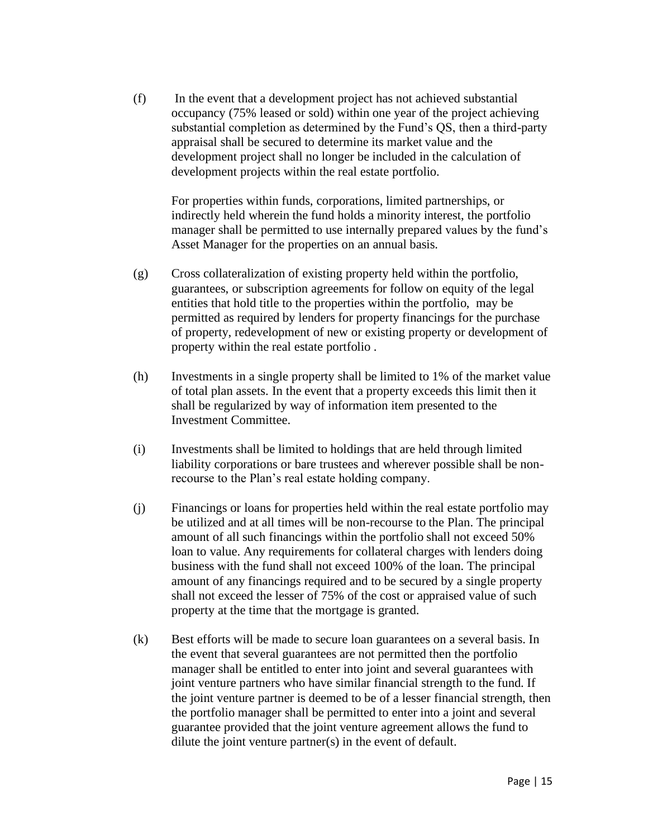(f) In the event that a development project has not achieved substantial occupancy (75% leased or sold) within one year of the project achieving substantial completion as determined by the Fund's QS, then a third-party appraisal shall be secured to determine its market value and the development project shall no longer be included in the calculation of development projects within the real estate portfolio.

For properties within funds, corporations, limited partnerships, or indirectly held wherein the fund holds a minority interest, the portfolio manager shall be permitted to use internally prepared values by the fund's Asset Manager for the properties on an annual basis.

- (g) Cross collateralization of existing property held within the portfolio, guarantees, or subscription agreements for follow on equity of the legal entities that hold title to the properties within the portfolio, may be permitted as required by lenders for property financings for the purchase of property, redevelopment of new or existing property or development of property within the real estate portfolio .
- (h) Investments in a single property shall be limited to 1% of the market value of total plan assets. In the event that a property exceeds this limit then it shall be regularized by way of information item presented to the Investment Committee.
- (i) Investments shall be limited to holdings that are held through limited liability corporations or bare trustees and wherever possible shall be nonrecourse to the Plan's real estate holding company.
- (j) Financings or loans for properties held within the real estate portfolio may be utilized and at all times will be non-recourse to the Plan. The principal amount of all such financings within the portfolio shall not exceed 50% loan to value. Any requirements for collateral charges with lenders doing business with the fund shall not exceed 100% of the loan. The principal amount of any financings required and to be secured by a single property shall not exceed the lesser of 75% of the cost or appraised value of such property at the time that the mortgage is granted.
- (k) Best efforts will be made to secure loan guarantees on a several basis. In the event that several guarantees are not permitted then the portfolio manager shall be entitled to enter into joint and several guarantees with joint venture partners who have similar financial strength to the fund. If the joint venture partner is deemed to be of a lesser financial strength, then the portfolio manager shall be permitted to enter into a joint and several guarantee provided that the joint venture agreement allows the fund to dilute the joint venture partner(s) in the event of default.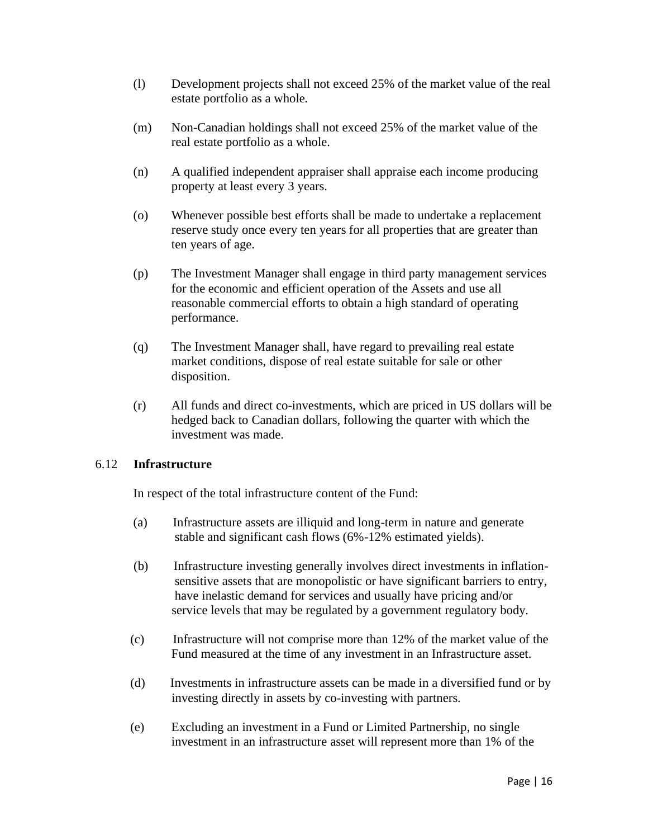- (l) Development projects shall not exceed 25% of the market value of the real estate portfolio as a whole.
- (m) Non-Canadian holdings shall not exceed 25% of the market value of the real estate portfolio as a whole.
- (n) A qualified independent appraiser shall appraise each income producing property at least every 3 years.
- (o) Whenever possible best efforts shall be made to undertake a replacement reserve study once every ten years for all properties that are greater than ten years of age.
- (p) The Investment Manager shall engage in third party management services for the economic and efficient operation of the Assets and use all reasonable commercial efforts to obtain a high standard of operating performance.
- (q) The Investment Manager shall, have regard to prevailing real estate market conditions, dispose of real estate suitable for sale or other disposition.
- (r) All funds and direct co-investments, which are priced in US dollars will be hedged back to Canadian dollars, following the quarter with which the investment was made.

#### 6.12 **Infrastructure**

In respect of the total infrastructure content of the Fund:

- (a) Infrastructure assets are illiquid and long-term in nature and generate stable and significant cash flows (6%-12% estimated yields).
- (b) Infrastructure investing generally involves direct investments in inflation sensitive assets that are monopolistic or have significant barriers to entry, have inelastic demand for services and usually have pricing and/or service levels that may be regulated by a government regulatory body.
- (c) Infrastructure will not comprise more than 12% of the market value of the Fund measured at the time of any investment in an Infrastructure asset.
- (d) Investments in infrastructure assets can be made in a diversified fund or by investing directly in assets by co-investing with partners.
- (e) Excluding an investment in a Fund or Limited Partnership, no single investment in an infrastructure asset will represent more than 1% of the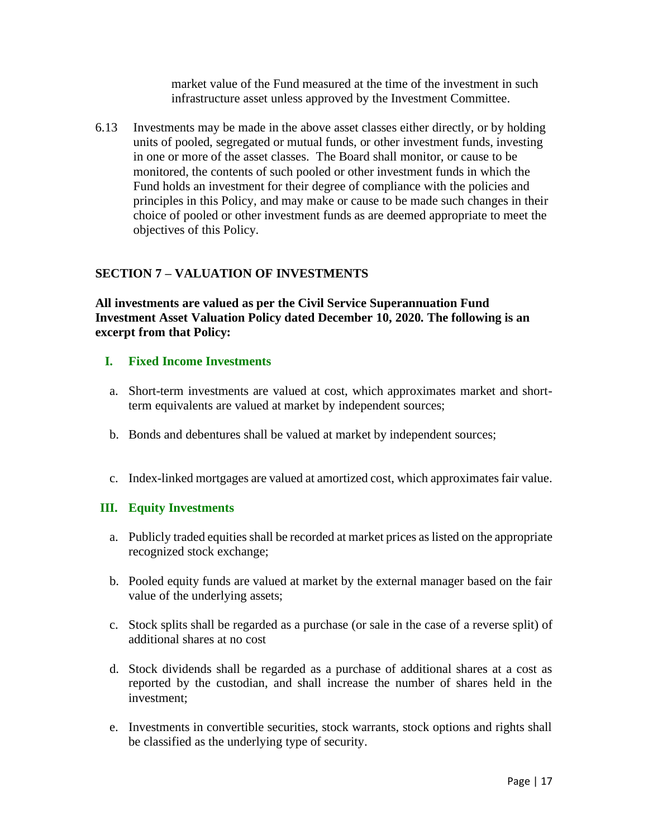market value of the Fund measured at the time of the investment in such infrastructure asset unless approved by the Investment Committee.

6.13 Investments may be made in the above asset classes either directly, or by holding units of pooled, segregated or mutual funds, or other investment funds, investing in one or more of the asset classes. The Board shall monitor, or cause to be monitored, the contents of such pooled or other investment funds in which the Fund holds an investment for their degree of compliance with the policies and principles in this Policy, and may make or cause to be made such changes in their choice of pooled or other investment funds as are deemed appropriate to meet the objectives of this Policy.

# **SECTION 7 – VALUATION OF INVESTMENTS**

**All investments are valued as per the Civil Service Superannuation Fund Investment Asset Valuation Policy dated December 10, 2020. The following is an excerpt from that Policy:**

# **I. Fixed Income Investments**

- a. Short-term investments are valued at cost, which approximates market and shortterm equivalents are valued at market by independent sources;
- b. Bonds and debentures shall be valued at market by independent sources;
- c. Index-linked mortgages are valued at amortized cost, which approximates fair value.

#### **III. Equity Investments**

- a. Publicly traded equities shall be recorded at market prices as listed on the appropriate recognized stock exchange;
- b. Pooled equity funds are valued at market by the external manager based on the fair value of the underlying assets;
- c. Stock splits shall be regarded as a purchase (or sale in the case of a reverse split) of additional shares at no cost
- d. Stock dividends shall be regarded as a purchase of additional shares at a cost as reported by the custodian, and shall increase the number of shares held in the investment;
- e. Investments in convertible securities, stock warrants, stock options and rights shall be classified as the underlying type of security.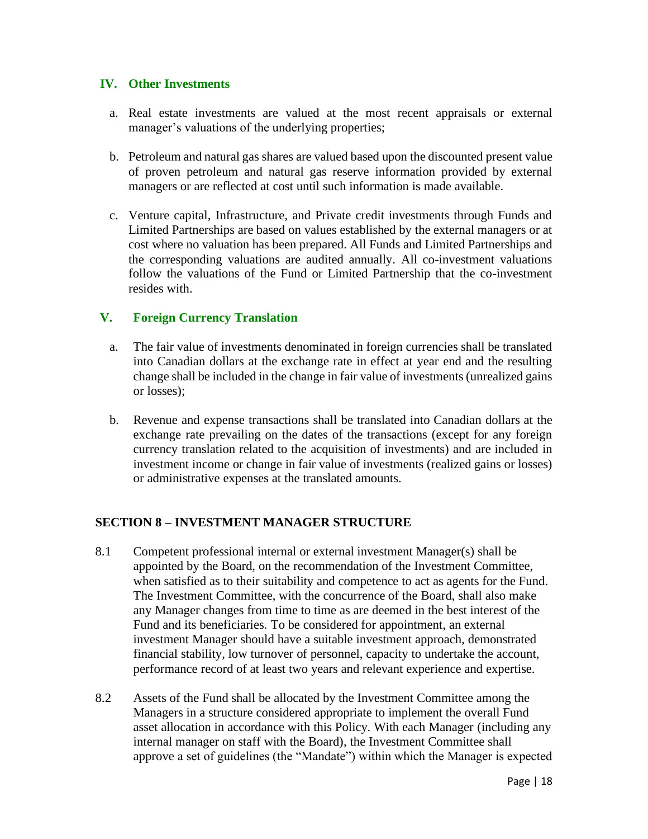#### **IV. Other Investments**

- a. Real estate investments are valued at the most recent appraisals or external manager's valuations of the underlying properties;
- b. Petroleum and natural gas shares are valued based upon the discounted present value of proven petroleum and natural gas reserve information provided by external managers or are reflected at cost until such information is made available.
- c. Venture capital, Infrastructure, and Private credit investments through Funds and Limited Partnerships are based on values established by the external managers or at cost where no valuation has been prepared. All Funds and Limited Partnerships and the corresponding valuations are audited annually. All co-investment valuations follow the valuations of the Fund or Limited Partnership that the co-investment resides with.

#### **V. Foreign Currency Translation**

- a. The fair value of investments denominated in foreign currencies shall be translated into Canadian dollars at the exchange rate in effect at year end and the resulting change shall be included in the change in fair value of investments (unrealized gains or losses);
- b. Revenue and expense transactions shall be translated into Canadian dollars at the exchange rate prevailing on the dates of the transactions (except for any foreign currency translation related to the acquisition of investments) and are included in investment income or change in fair value of investments (realized gains or losses) or administrative expenses at the translated amounts.

#### **SECTION 8 – INVESTMENT MANAGER STRUCTURE**

- 8.1 Competent professional internal or external investment Manager(s) shall be appointed by the Board, on the recommendation of the Investment Committee, when satisfied as to their suitability and competence to act as agents for the Fund. The Investment Committee, with the concurrence of the Board, shall also make any Manager changes from time to time as are deemed in the best interest of the Fund and its beneficiaries. To be considered for appointment, an external investment Manager should have a suitable investment approach, demonstrated financial stability, low turnover of personnel, capacity to undertake the account, performance record of at least two years and relevant experience and expertise.
- 8.2 Assets of the Fund shall be allocated by the Investment Committee among the Managers in a structure considered appropriate to implement the overall Fund asset allocation in accordance with this Policy. With each Manager (including any internal manager on staff with the Board), the Investment Committee shall approve a set of guidelines (the "Mandate") within which the Manager is expected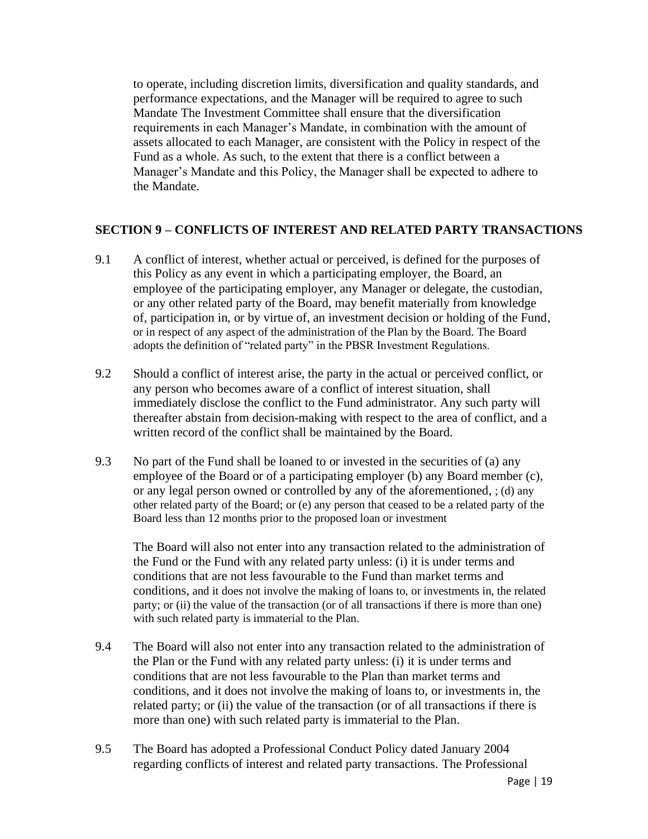to operate, including discretion limits, diversification and quality standards, and performance expectations, and the Manager will be required to agree to such Mandate The Investment Committee shall ensure that the diversification requirements in each Manager's Mandate, in combination with the amount of assets allocated to each Manager, are consistent with the Policy in respect of the Fund as a whole. As such, to the extent that there is a conflict between a Manager's Mandate and this Policy, the Manager shall be expected to adhere to the Mandate.

#### **SECTION 9 – CONFLICTS OF INTEREST AND RELATED PARTY TRANSACTIONS**

- 9.1 A conflict of interest, whether actual or perceived, is defined for the purposes of this Policy as any event in which a participating employer, the Board, an employee of the participating employer, any Manager or delegate, the custodian, or any other related party of the Board, may benefit materially from knowledge of, participation in, or by virtue of, an investment decision or holding of the Fund, or in respect of any aspect of the administration of the Plan by the Board. The Board adopts the definition of "related party" in the PBSR Investment Regulations.
- 9.2 Should a conflict of interest arise, the party in the actual or perceived conflict, or any person who becomes aware of a conflict of interest situation, shall immediately disclose the conflict to the Fund administrator. Any such party will thereafter abstain from decision-making with respect to the area of conflict, and a written record of the conflict shall be maintained by the Board.
- 9.3 No part of the Fund shall be loaned to or invested in the securities of (a) any employee of the Board or of a participating employer (b) any Board member (c), or any legal person owned or controlled by any of the aforementioned, ; (d) any other related party of the Board; or (e) any person that ceased to be a related party of the Board less than 12 months prior to the proposed loan or investment

The Board will also not enter into any transaction related to the administration of the Fund or the Fund with any related party unless: (i) it is under terms and conditions that are not less favourable to the Fund than market terms and conditions, and it does not involve the making of loans to, or investments in, the related party; or (ii) the value of the transaction (or of all transactions if there is more than one) with such related party is immaterial to the Plan.

- 9.4 The Board will also not enter into any transaction related to the administration of the Plan or the Fund with any related party unless: (i) it is under terms and conditions that are not less favourable to the Plan than market terms and conditions, and it does not involve the making of loans to, or investments in, the related party; or (ii) the value of the transaction (or of all transactions if there is more than one) with such related party is immaterial to the Plan.
- 9.5 The Board has adopted a Professional Conduct Policy dated January 2004 regarding conflicts of interest and related party transactions. The Professional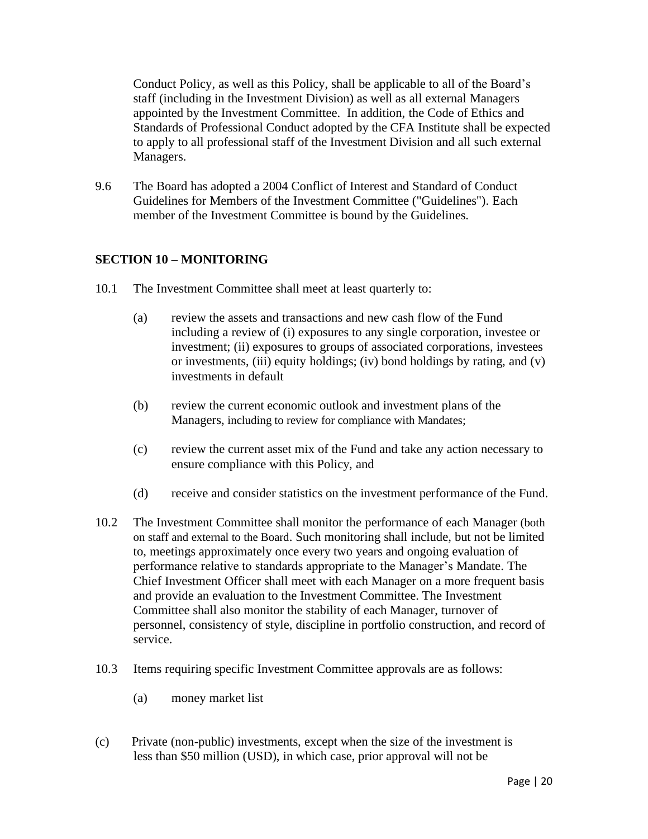Conduct Policy, as well as this Policy, shall be applicable to all of the Board's staff (including in the Investment Division) as well as all external Managers appointed by the Investment Committee. In addition, the Code of Ethics and Standards of Professional Conduct adopted by the CFA Institute shall be expected to apply to all professional staff of the Investment Division and all such external Managers.

9.6 The Board has adopted a 2004 Conflict of Interest and Standard of Conduct Guidelines for Members of the Investment Committee ("Guidelines"). Each member of the Investment Committee is bound by the Guidelines.

# **SECTION 10 – MONITORING**

- 10.1 The Investment Committee shall meet at least quarterly to:
	- (a) review the assets and transactions and new cash flow of the Fund including a review of (i) exposures to any single corporation, investee or investment; (ii) exposures to groups of associated corporations, investees or investments, (iii) equity holdings; (iv) bond holdings by rating, and (v) investments in default
	- (b) review the current economic outlook and investment plans of the Managers, including to review for compliance with Mandates;
	- (c) review the current asset mix of the Fund and take any action necessary to ensure compliance with this Policy, and
	- (d) receive and consider statistics on the investment performance of the Fund.
- 10.2 The Investment Committee shall monitor the performance of each Manager (both on staff and external to the Board. Such monitoring shall include, but not be limited to, meetings approximately once every two years and ongoing evaluation of performance relative to standards appropriate to the Manager's Mandate. The Chief Investment Officer shall meet with each Manager on a more frequent basis and provide an evaluation to the Investment Committee. The Investment Committee shall also monitor the stability of each Manager, turnover of personnel, consistency of style, discipline in portfolio construction, and record of service.
- 10.3 Items requiring specific Investment Committee approvals are as follows:
	- (a) money market list
- (c) Private (non-public) investments, except when the size of the investment is less than \$50 million (USD), in which case, prior approval will not be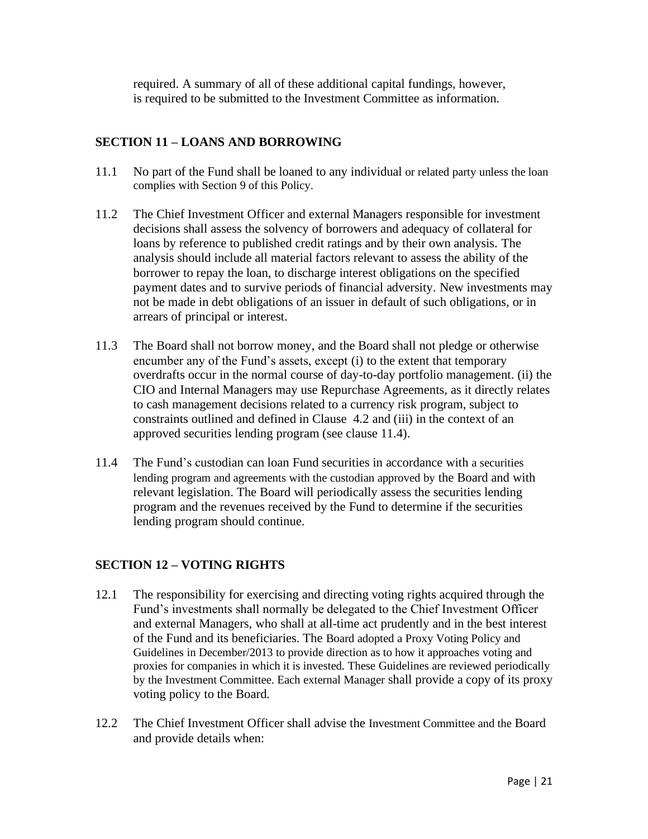required. A summary of all of these additional capital fundings, however, is required to be submitted to the Investment Committee as information.

# **SECTION 11 – LOANS AND BORROWING**

- 11.1 No part of the Fund shall be loaned to any individual or related party unless the loan complies with Section 9 of this Policy.
- 11.2 The Chief Investment Officer and external Managers responsible for investment decisions shall assess the solvency of borrowers and adequacy of collateral for loans by reference to published credit ratings and by their own analysis. The analysis should include all material factors relevant to assess the ability of the borrower to repay the loan, to discharge interest obligations on the specified payment dates and to survive periods of financial adversity. New investments may not be made in debt obligations of an issuer in default of such obligations, or in arrears of principal or interest.
- 11.3 The Board shall not borrow money, and the Board shall not pledge or otherwise encumber any of the Fund's assets, except (i) to the extent that temporary overdrafts occur in the normal course of day-to-day portfolio management. (ii) the CIO and Internal Managers may use Repurchase Agreements, as it directly relates to cash management decisions related to a currency risk program, subject to constraints outlined and defined in Clause 4.2 and (iii) in the context of an approved securities lending program (see clause 11.4).
- 11.4 The Fund's custodian can loan Fund securities in accordance with a securities lending program and agreements with the custodian approved by the Board and with relevant legislation. The Board will periodically assess the securities lending program and the revenues received by the Fund to determine if the securities lending program should continue.

#### **SECTION 12 – VOTING RIGHTS**

- 12.1 The responsibility for exercising and directing voting rights acquired through the Fund's investments shall normally be delegated to the Chief Investment Officer and external Managers, who shall at all-time act prudently and in the best interest of the Fund and its beneficiaries. The Board adopted a Proxy Voting Policy and Guidelines in December/2013 to provide direction as to how it approaches voting and proxies for companies in which it is invested. These Guidelines are reviewed periodically by the Investment Committee. Each external Manager shall provide a copy of its proxy voting policy to the Board.
- 12.2 The Chief Investment Officer shall advise the Investment Committee and the Board and provide details when: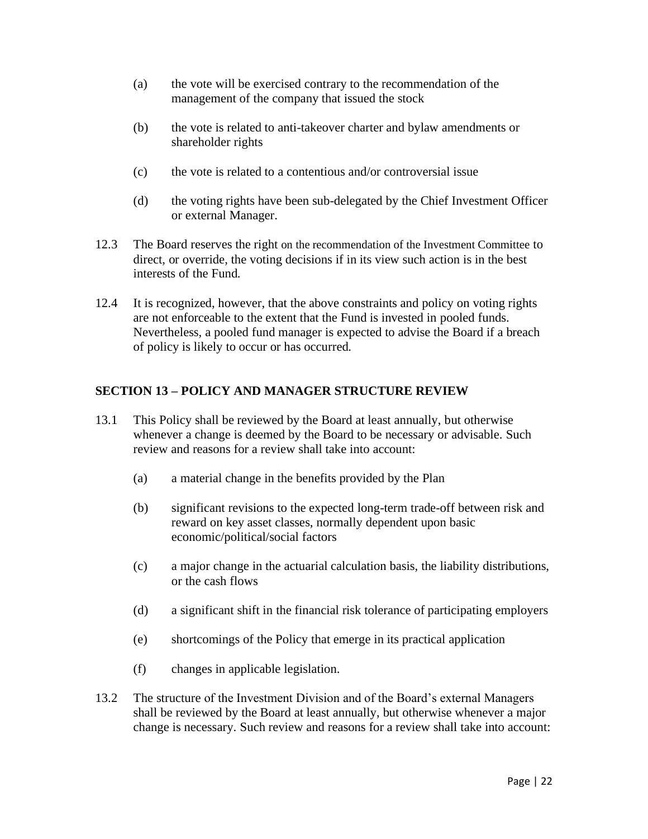- (a) the vote will be exercised contrary to the recommendation of the management of the company that issued the stock
- (b) the vote is related to anti-takeover charter and bylaw amendments or shareholder rights
- (c) the vote is related to a contentious and/or controversial issue
- (d) the voting rights have been sub-delegated by the Chief Investment Officer or external Manager.
- 12.3 The Board reserves the right on the recommendation of the Investment Committee to direct, or override, the voting decisions if in its view such action is in the best interests of the Fund.
- 12.4 It is recognized, however, that the above constraints and policy on voting rights are not enforceable to the extent that the Fund is invested in pooled funds. Nevertheless, a pooled fund manager is expected to advise the Board if a breach of policy is likely to occur or has occurred.

# **SECTION 13 – POLICY AND MANAGER STRUCTURE REVIEW**

- 13.1 This Policy shall be reviewed by the Board at least annually, but otherwise whenever a change is deemed by the Board to be necessary or advisable. Such review and reasons for a review shall take into account:
	- (a) a material change in the benefits provided by the Plan
	- (b) significant revisions to the expected long-term trade-off between risk and reward on key asset classes, normally dependent upon basic economic/political/social factors
	- (c) a major change in the actuarial calculation basis, the liability distributions, or the cash flows
	- (d) a significant shift in the financial risk tolerance of participating employers
	- (e) shortcomings of the Policy that emerge in its practical application
	- (f) changes in applicable legislation.
- 13.2 The structure of the Investment Division and of the Board's external Managers shall be reviewed by the Board at least annually, but otherwise whenever a major change is necessary. Such review and reasons for a review shall take into account: